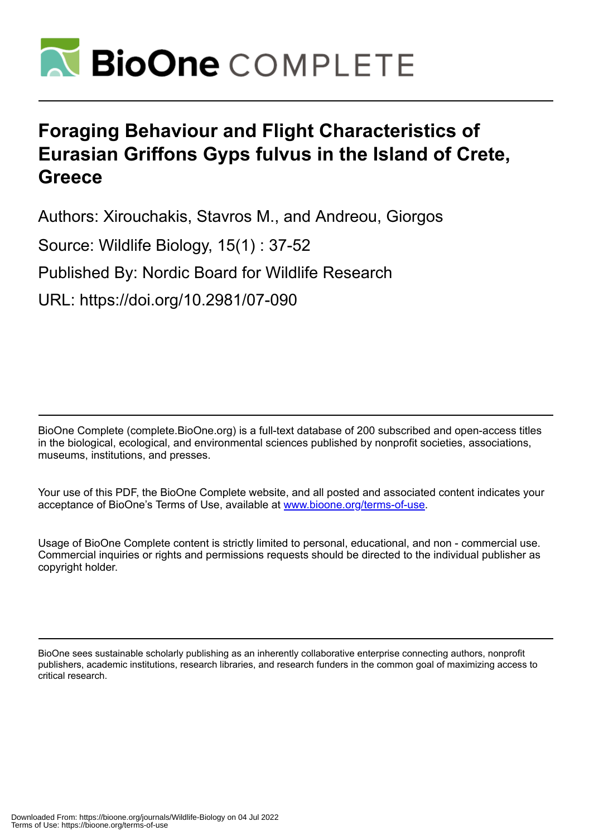

# **Foraging Behaviour and Flight Characteristics of Eurasian Griffons Gyps fulvus in the Island of Crete, Greece**

Authors: Xirouchakis, Stavros M., and Andreou, Giorgos

Source: Wildlife Biology, 15(1) : 37-52

Published By: Nordic Board for Wildlife Research

URL: https://doi.org/10.2981/07-090

BioOne Complete (complete.BioOne.org) is a full-text database of 200 subscribed and open-access titles in the biological, ecological, and environmental sciences published by nonprofit societies, associations, museums, institutions, and presses.

Your use of this PDF, the BioOne Complete website, and all posted and associated content indicates your acceptance of BioOne's Terms of Use, available at www.bioone.org/terms-of-use.

Usage of BioOne Complete content is strictly limited to personal, educational, and non - commercial use. Commercial inquiries or rights and permissions requests should be directed to the individual publisher as copyright holder.

BioOne sees sustainable scholarly publishing as an inherently collaborative enterprise connecting authors, nonprofit publishers, academic institutions, research libraries, and research funders in the common goal of maximizing access to critical research.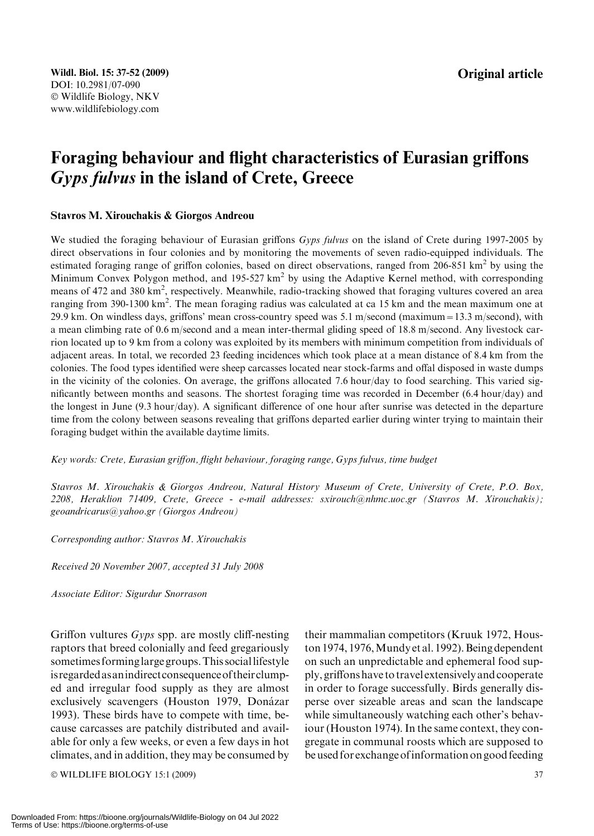## Foraging behaviour and flight characteristics of Eurasian griffons Gyps fulvus in the island of Crete, Greece

## Stavros M. Xirouchakis & Giorgos Andreou

We studied the foraging behaviour of Eurasian griffons Gyps fulvus on the island of Crete during 1997-2005 by direct observations in four colonies and by monitoring the movements of seven radio-equipped individuals. The estimated foraging range of griffon colonies, based on direct observations, ranged from 206-851  $km^2$  by using the Minimum Convex Polygon method, and 195-527 km<sup>2</sup> by using the Adaptive Kernel method, with corresponding means of 472 and 380 km<sup>2</sup>, respectively. Meanwhile, radio-tracking showed that foraging vultures covered an area ranging from 390-1300 km<sup>2</sup>. The mean foraging radius was calculated at ca 15 km and the mean maximum one at 29.9 km. On windless days, griffons' mean cross-country speed was 5.1 m/second (maximum=13.3 m/second), with a mean climbing rate of 0.6 m/second and a mean inter-thermal gliding speed of 18.8 m/second. Any livestock carrion located up to 9 km from a colony was exploited by its members with minimum competition from individuals of adjacent areas. In total, we recorded 23 feeding incidences which took place at a mean distance of 8.4 km from the colonies. The food types identified were sheep carcasses located near stock-farms and offal disposed in waste dumps in the vicinity of the colonies. On average, the griffons allocated 7.6 hour/day to food searching. This varied significantly between months and seasons. The shortest foraging time was recorded in December (6.4 hour/day) and the longest in June (9.3 hour/day). A significant difference of one hour after sunrise was detected in the departure time from the colony between seasons revealing that griffons departed earlier during winter trying to maintain their foraging budget within the available daytime limits.

Key words: Crete, Eurasian griffon, flight behaviour, foraging range, Gyps fulvus, time budget

Stavros M. Xirouchakis & Giorgos Andreou, Natural History Museum of Crete, University of Crete, P.O. Box, 2208, Heraklion 71409, Crete, Greece - e-mail addresses: sxirouch@nhmc.uoc.gr (Stavros M. Xirouchakis); geoandricarus@yahoo.gr (Giorgos Andreou)

Corresponding author: Stavros M. Xirouchakis

Received 20 November 2007, accepted 31 July 2008

Associate Editor: Sigurdur Snorrason

Griffon vultures Gyps spp. are mostly cliff-nesting raptors that breed colonially and feed gregariously sometimes forminglarge groups.This sociallifestyle isregardedasanindirectconsequenceoftheirclumped and irregular food supply as they are almost exclusively scavengers (Houston 1979, Donázar 1993). These birds have to compete with time, because carcasses are patchily distributed and available for only a few weeks, or even a few days in hot climates, and in addition, they may be consumed by

© WILDLIFE BIOLOGY 15:1 (2009) 37

their mammalian competitors (Kruuk 1972, Houston 1974, 1976, Mundy et al. 1992). Being dependent on such an unpredictable and ephemeral food supply, griffons have to travel extensively and cooperate in order to forage successfully. Birds generally disperse over sizeable areas and scan the landscape while simultaneously watching each other's behaviour (Houston 1974). In the same context, they congregate in communal roosts which are supposed to be used for exchange ofinformation on good feeding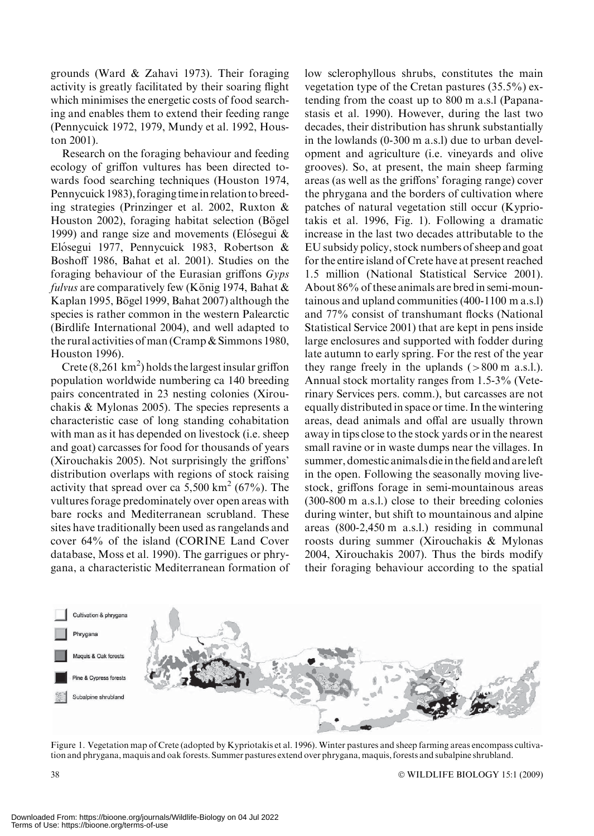grounds (Ward & Zahavi 1973). Their foraging activity is greatly facilitated by their soaring flight which minimises the energetic costs of food searching and enables them to extend their feeding range (Pennycuick 1972, 1979, Mundy et al. 1992, Houston 2001).

Research on the foraging behaviour and feeding ecology of griffon vultures has been directed towards food searching techniques (Houston 1974, Pennycuick 1983), foraging timein relation tobreeding strategies (Prinzinger et al. 2002, Ruxton & Houston 2002), foraging habitat selection (Bögel 1999) and range size and movements (Elósegui  $&$ Elósegui 1977, Pennycuick 1983, Robertson & Boshoff 1986, Bahat et al. 2001). Studies on the foraging behaviour of the Eurasian griffons Gyps fulvus are comparatively few (König 1974, Bahat  $\&$ Kaplan 1995, Bögel 1999, Bahat 2007) although the species is rather common in the western Palearctic (Birdlife International 2004), and well adapted to the rural activities of man (Cramp & Simmons 1980, Houston 1996).

Crete  $(8, 261 \text{ km}^2)$  holds the largest insular griffon population worldwide numbering ca 140 breeding pairs concentrated in 23 nesting colonies (Xirouchakis & Mylonas 2005). The species represents a characteristic case of long standing cohabitation with man as it has depended on livestock (i.e. sheep and goat) carcasses for food for thousands of years (Xirouchakis 2005). Not surprisingly the griffons' distribution overlaps with regions of stock raising activity that spread over ca 5,500 km<sup>2</sup> (67%). The vultures forage predominately over open areas with bare rocks and Mediterranean scrubland. These sites have traditionally been used as rangelands and cover 64% of the island (CORINE Land Cover database, Moss et al. 1990). The garrigues or phrygana, a characteristic Mediterranean formation of low sclerophyllous shrubs, constitutes the main vegetation type of the Cretan pastures (35.5%) extending from the coast up to 800 m a.s.l (Papanastasis et al. 1990). However, during the last two decades, their distribution has shrunk substantially in the lowlands (0-300 m a.s.l) due to urban development and agriculture (i.e. vineyards and olive grooves). So, at present, the main sheep farming areas (as well as the griffons' foraging range) cover the phrygana and the borders of cultivation where patches of natural vegetation still occur (Kypriotakis et al. 1996, Fig. 1). Following a dramatic increase in the last two decades attributable to the EU subsidy policy, stock numbers of sheep and goat for the entire island of Crete have at present reached 1.5 million (National Statistical Service 2001). About 86% of these animals are bred in semi-mountainous and upland communities (400-1100 m a.s.l) and 77% consist of transhumant flocks (National Statistical Service 2001) that are kept in pens inside large enclosures and supported with fodder during late autumn to early spring. For the rest of the year they range freely in the uplands  $(>800 \text{ m a.s.}!)$ . Annual stock mortality ranges from 1.5-3% (Veterinary Services pers. comm.), but carcasses are not equally distributed in space or time. In the wintering areas, dead animals and offal are usually thrown away in tips close to the stock yards or in the nearest small ravine or in waste dumps near the villages. In summer, domestic animals diein the field and areleft in the open. Following the seasonally moving livestock, griffons forage in semi-mountainous areas (300-800 m a.s.l.) close to their breeding colonies during winter, but shift to mountainous and alpine areas (800-2,450 m a.s.l.) residing in communal roosts during summer (Xirouchakis & Mylonas 2004, Xirouchakis 2007). Thus the birds modify their foraging behaviour according to the spatial



Figure 1. Vegetation map of Crete (adopted by Kypriotakis et al. 1996). Winter pastures and sheep farming areas encompass cultivation and phrygana, maquis and oak forests. Summer pastures extend over phrygana, maquis, forests and subalpine shrubland.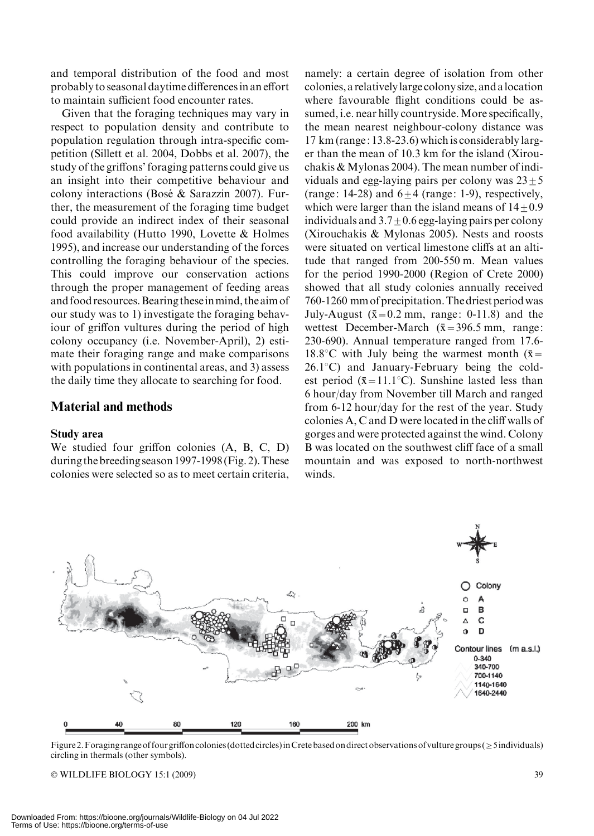and temporal distribution of the food and most probably to seasonal daytime differences in an effort to maintain sufficient food encounter rates.

Given that the foraging techniques may vary in respect to population density and contribute to population regulation through intra-specific competition (Sillett et al. 2004, Dobbs et al. 2007), the study of the griffons' foraging patterns could give us an insight into their competitive behaviour and colony interactions (Bosé & Sarazzin 2007). Further, the measurement of the foraging time budget could provide an indirect index of their seasonal food availability (Hutto 1990, Lovette & Holmes 1995), and increase our understanding of the forces controlling the foraging behaviour of the species. This could improve our conservation actions through the proper management of feeding areas and food resources.Bearing theseinmind, the aim of our study was to 1) investigate the foraging behaviour of griffon vultures during the period of high colony occupancy (i.e. November-April), 2) estimate their foraging range and make comparisons with populations in continental areas, and 3) assess the daily time they allocate to searching for food.

## Material and methods

#### Study area

We studied four griffon colonies (A, B, C, D) during the breeding season 1997-1998 (Fig. 2).These colonies were selected so as to meet certain criteria,

namely: a certain degree of isolation from other colonies, a relativelylarge colony size, and alocation where favourable flight conditions could be assumed, i.e. near hilly countryside. More specifically, the mean nearest neighbour-colony distance was 17 km (range: 13.8-23.6) which is considerably larger than the mean of 10.3 km for the island (Xirouchakis & Mylonas 2004). The mean number of individuals and egg-laying pairs per colony was  $23 \pm 5$ (range: 14-28) and  $6+4$  (range: 1-9), respectively, which were larger than the island means of  $14+0.9$ individuals and  $3.7 \pm 0.6$  egg-laying pairs per colony (Xirouchakis & Mylonas 2005). Nests and roosts were situated on vertical limestone cliffs at an altitude that ranged from 200-550 m. Mean values for the period 1990-2000 (Region of Crete 2000) showed that all study colonies annually received 760-1260 mm of precipitation.The driest period was July-August ( $\bar{x}=0.2$  mm, range: 0-11.8) and the wettest December-March  $(\bar{x}=396.5 \text{ mm})$ , range: 230-690). Annual temperature ranged from 17.6- 18.8 $\degree$ C with July being the warmest month ( $\bar{x}$ =  $26.1^{\circ}$ C) and January-February being the coldest period ( $\bar{x}$ =11.1°C). Sunshine lasted less than 6 hour/day from November till March and ranged from 6-12 hour/day for the rest of the year. Study colonies A, C and D were located in the cliff walls of gorges and were protected against the wind. Colony B was located on the southwest cliff face of a small mountain and was exposed to north-northwest winds.



Figure 2. Foraging range of four griffon colonies (dotted circles) in Crete based on direct observations of vulture groups ( $\geq$  5 individuals) circling in thermals (other symbols).

© WILDLIFE BIOLOGY 15:1 (2009) 39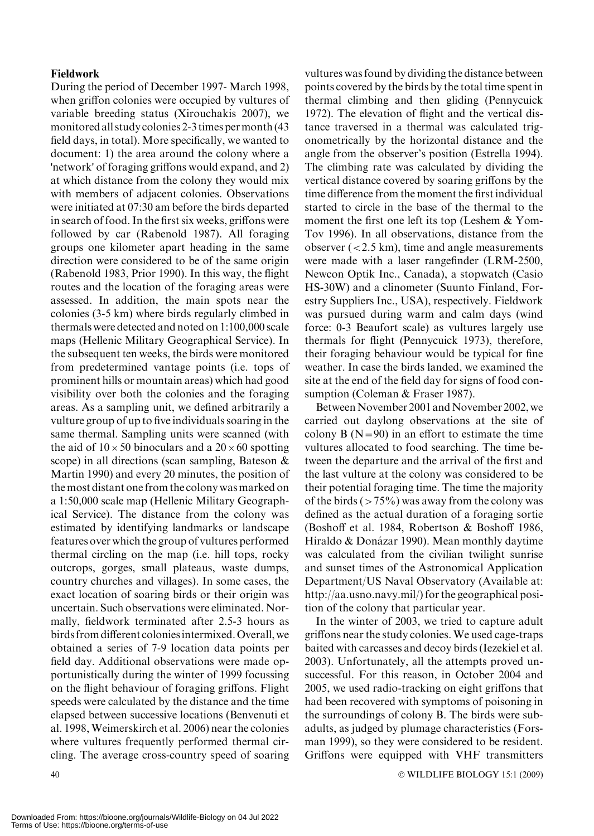### Fieldwork

During the period of December 1997- March 1998, when griffon colonies were occupied by vultures of variable breeding status (Xirouchakis 2007), we monitored all study colonies 2-3 times permonth (43 field days, in total). More specifically, we wanted to document: 1) the area around the colony where a 'network' of foraging griffons would expand, and 2) at which distance from the colony they would mix with members of adjacent colonies. Observations were initiated at 07:30 am before the birds departed in search of food. In the first six weeks, griffons were followed by car (Rabenold 1987). All foraging groups one kilometer apart heading in the same direction were considered to be of the same origin (Rabenold 1983, Prior 1990). In this way, the flight routes and the location of the foraging areas were assessed. In addition, the main spots near the colonies (3-5 km) where birds regularly climbed in thermals were detected and noted on 1:100,000 scale maps (Hellenic Military Geographical Service). In the subsequent ten weeks, the birds were monitored from predetermined vantage points (i.e. tops of prominent hills or mountain areas) which had good visibility over both the colonies and the foraging areas. As a sampling unit, we defined arbitrarily a vulture group of up to five individuals soaring in the same thermal. Sampling units were scanned (with the aid of  $10 \times 50$  binoculars and a  $20 \times 60$  spotting scope) in all directions (scan sampling, Bateson & Martin 1990) and every 20 minutes, the position of the most distant one from the colony was marked on a 1:50,000 scale map (Hellenic Military Geographical Service). The distance from the colony was estimated by identifying landmarks or landscape features over which the group of vultures performed thermal circling on the map (i.e. hill tops, rocky outcrops, gorges, small plateaus, waste dumps, country churches and villages). In some cases, the exact location of soaring birds or their origin was uncertain. Such observations were eliminated. Normally, fieldwork terminated after 2.5-3 hours as birds from different coloniesintermixed. Overall, we obtained a series of 7-9 location data points per field day. Additional observations were made opportunistically during the winter of 1999 focussing on the flight behaviour of foraging griffons. Flight speeds were calculated by the distance and the time elapsed between successive locations (Benvenuti et al. 1998, Weimerskirch et al. 2006) near the colonies where vultures frequently performed thermal circling. The average cross-country speed of soaring

vultures was found by dividing the distance between points covered by the birds by the total time spent in thermal climbing and then gliding (Pennycuick 1972). The elevation of flight and the vertical distance traversed in a thermal was calculated trigonometrically by the horizontal distance and the angle from the observer's position (Estrella 1994). The climbing rate was calculated by dividing the vertical distance covered by soaring griffons by the time difference from the moment the first individual started to circle in the base of the thermal to the moment the first one left its top (Leshem & Yom-Tov 1996). In all observations, distance from the observer  $\left($  < 2.5 km), time and angle measurements were made with a laser rangefinder (LRM-2500, Newcon Optik Inc., Canada), a stopwatch (Casio HS-30W) and a clinometer (Suunto Finland, Forestry Suppliers Inc., USA), respectively. Fieldwork was pursued during warm and calm days (wind force: 0-3 Beaufort scale) as vultures largely use thermals for flight (Pennycuick 1973), therefore, their foraging behaviour would be typical for fine weather. In case the birds landed, we examined the site at the end of the field day for signs of food consumption (Coleman & Fraser 1987).

Between November 2001 and November 2002, we carried out daylong observations at the site of colony B  $(N=90)$  in an effort to estimate the time vultures allocated to food searching. The time between the departure and the arrival of the first and the last vulture at the colony was considered to be their potential foraging time. The time the majority of the birds  $(>75\%)$  was away from the colony was defined as the actual duration of a foraging sortie (Boshoff et al. 1984, Robertson & Boshoff 1986, Hiraldo & Donázar 1990). Mean monthly daytime was calculated from the civilian twilight sunrise and sunset times of the Astronomical Application Department/US Naval Observatory (Available at: http://aa.usno.navy.mil/) for the geographical position of the colony that particular year.

In the winter of 2003, we tried to capture adult griffons near the study colonies. We used cage-traps baited with carcasses and decoy birds (Iezekiel et al. 2003). Unfortunately, all the attempts proved unsuccessful. For this reason, in October 2004 and 2005, we used radio-tracking on eight griffons that had been recovered with symptoms of poisoning in the surroundings of colony B. The birds were subadults, as judged by plumage characteristics (Forsman 1999), so they were considered to be resident. Griffons were equipped with VHF transmitters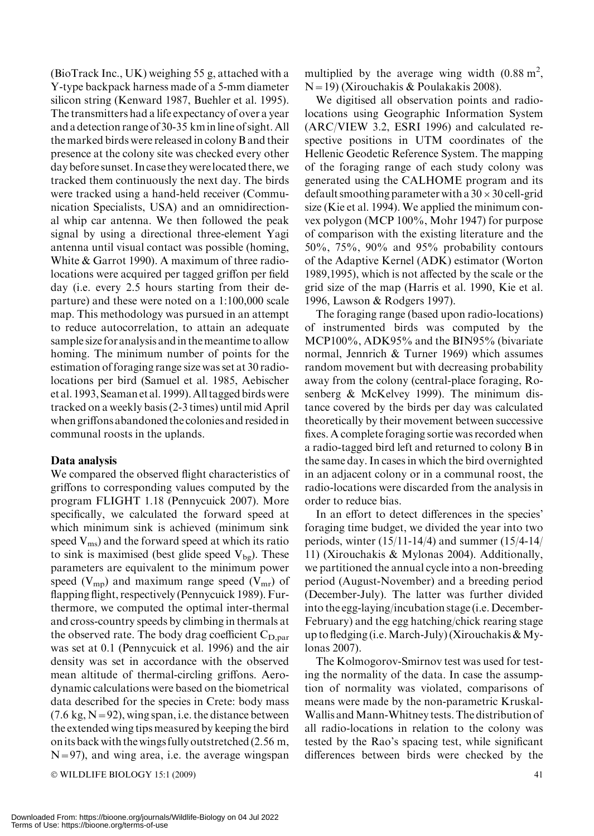(BioTrack Inc., UK) weighing 55 g, attached with a Y-type backpack harness made of a 5-mm diameter silicon string (Kenward 1987, Buehler et al. 1995). The transmitters had a life expectancy of over a year and a detection range of 30-35 kminline of sight. All the marked birds were released in colony B and their presence at the colony site was checked every other day before sunset. In case they werelocated there, we tracked them continuously the next day. The birds were tracked using a hand-held receiver (Communication Specialists, USA) and an omnidirectional whip car antenna. We then followed the peak signal by using a directional three-element Yagi antenna until visual contact was possible (homing, White & Garrot 1990). A maximum of three radiolocations were acquired per tagged griffon per field day (i.e. every 2.5 hours starting from their departure) and these were noted on a 1:100,000 scale map. This methodology was pursued in an attempt to reduce autocorrelation, to attain an adequate sample size for analysis and in the meantime to allow homing. The minimum number of points for the estimation of foraging range size was set at 30 radiolocations per bird (Samuel et al. 1985, Aebischer et al. 1993, Seaman et al. 1999). All tagged birds were tracked on a weekly basis (2-3 times) until mid April when griffons abandoned the colonies and residedin communal roosts in the uplands.

## Data analysis

We compared the observed flight characteristics of griffons to corresponding values computed by the program FLIGHT 1.18 (Pennycuick 2007). More specifically, we calculated the forward speed at which minimum sink is achieved (minimum sink speed  $V_{\text{ms}}$ ) and the forward speed at which its ratio to sink is maximised (best glide speed  $V_{bg}$ ). These parameters are equivalent to the minimum power speed ( $V_{mp}$ ) and maximum range speed ( $V_{mr}$ ) of flapping flight, respectively (Pennycuick 1989). Furthermore, we computed the optimal inter-thermal and cross-country speeds by climbing in thermals at the observed rate. The body drag coefficient  $C_{\text{D,par}}$ was set at 0.1 (Pennycuick et al. 1996) and the air density was set in accordance with the observed mean altitude of thermal-circling griffons. Aerodynamic calculations were based on the biometrical data described for the species in Crete: body mass  $(7.6 \text{ kg}, N=92)$ , wing span, i.e. the distance between the extended wing tips measured by keeping the bird onits back with the wings fully outstretched (2.56 m,  $N=97$ ), and wing area, i.e. the average wingspan

 $\odot$  WILDLIFE BIOLOGY 15:1 (2009) 41

multiplied by the average wing width  $(0.88 \text{ m}^2,$  $N=19$ ) (Xirouchakis & Poulakakis 2008).

We digitised all observation points and radiolocations using Geographic Information System (ARC/VIEW 3.2, ESRI 1996) and calculated respective positions in UTM coordinates of the Hellenic Geodetic Reference System. The mapping of the foraging range of each study colony was generated using the CALHOME program and its default smoothing parameter with a  $30 \times 30$  cell-grid size (Kie et al. 1994). We applied the minimum convex polygon (MCP 100%, Mohr 1947) for purpose of comparison with the existing literature and the 50%, 75%, 90% and 95% probability contours of the Adaptive Kernel (ADK) estimator (Worton 1989,1995), which is not affected by the scale or the grid size of the map (Harris et al. 1990, Kie et al. 1996, Lawson & Rodgers 1997).

The foraging range (based upon radio-locations) of instrumented birds was computed by the MCP100%, ADK95% and the BIN95% (bivariate normal, Jennrich & Turner 1969) which assumes random movement but with decreasing probability away from the colony (central-place foraging, Rosenberg & McKelvey 1999). The minimum distance covered by the birds per day was calculated theoretically by their movement between successive fixes. A complete foraging sortie was recorded when a radio-tagged bird left and returned to colony B in the same day. In cases in which the bird overnighted in an adjacent colony or in a communal roost, the radio-locations were discarded from the analysis in order to reduce bias.

In an effort to detect differences in the species' foraging time budget, we divided the year into two periods, winter (15/11-14/4) and summer (15/4-14/ 11) (Xirouchakis & Mylonas 2004). Additionally, we partitioned the annual cycle into a non-breeding period (August-November) and a breeding period (December-July). The latter was further divided into the egg-laying/incubation stage (i.e. December-February) and the egg hatching/chick rearing stage up to fledging (i.e. March-July) (Xirouchakis  $&$  Mylonas 2007).

The Kolmogorov-Smirnov test was used for testing the normality of the data. In case the assumption of normality was violated, comparisons of means were made by the non-parametric Kruskal-Wallis and Mann-Whitney tests. The distribution of all radio-locations in relation to the colony was tested by the Rao's spacing test, while significant differences between birds were checked by the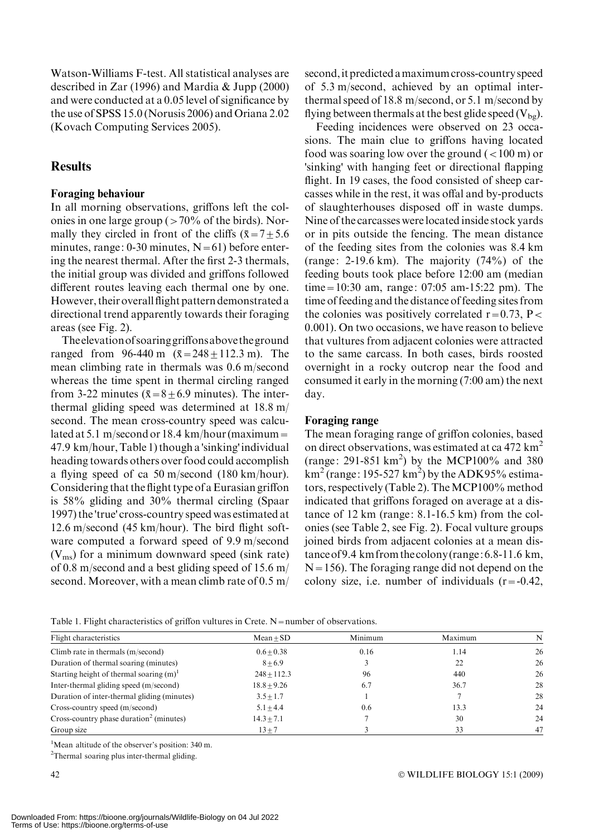Watson-Williams F-test. All statistical analyses are described in Zar (1996) and Mardia & Jupp (2000) and were conducted at a 0.05 level of significance by the use of SPSS 15.0 (Norusis 2006) and Oriana 2.02 (Kovach Computing Services 2005).

## **Results**

## Foraging behaviour

In all morning observations, griffons left the colonies in one large group ( $>70\%$  of the birds). Normally they circled in front of the cliffs ( $\bar{x}$ =7 $\pm$ 5.6 minutes, range: 0-30 minutes,  $N=61$ ) before entering the nearest thermal. After the first 2-3 thermals, the initial group was divided and griffons followed different routes leaving each thermal one by one. However, their overall flight pattern demonstrated a directional trend apparently towards their foraging areas (see Fig. 2).

Theelevationofsoaringgriffonsabove theground ranged from 96-440 m  $(\bar{x} = 248 \pm 112.3 \text{ m})$ . The mean climbing rate in thermals was 0.6 m/second whereas the time spent in thermal circling ranged from 3-22 minutes ( $\bar{x}=8\pm6.9$  minutes). The interthermal gliding speed was determined at 18.8 m/ second. The mean cross-country speed was calculated at 5.1 m/second or 18.4 km/hour (maximum = 47.9 km/hour, Table 1) though a 'sinking' individual heading towards others over food could accomplish a flying speed of ca 50 m/second (180 km/hour). Considering that the flight type of a Eurasian griffon is 58% gliding and 30% thermal circling (Spaar 1997) the 'true' cross-country speed was estimated at 12.6 m/second (45 km/hour). The bird flight software computed a forward speed of 9.9 m/second  $(V_{\rm ms})$  for a minimum downward speed (sink rate) of 0.8 m/second and a best gliding speed of 15.6 m/ second. Moreover, with a mean climb rate of 0.5 m/

second,it predicted amaximum cross-country speed of 5.3 m/second, achieved by an optimal interthermal speed of 18.8 m/second, or 5.1 m/second by flying between thermals at the best glide speed  $(V_{bg})$ .

Feeding incidences were observed on 23 occasions. The main clue to griffons having located food was soaring low over the ground  $(<100 \text{ m})$  or 'sinking' with hanging feet or directional flapping flight. In 19 cases, the food consisted of sheep carcasses while in the rest, it was offal and by-products of slaughterhouses disposed off in waste dumps. Nine of the carcasses were located inside stock yards or in pits outside the fencing. The mean distance of the feeding sites from the colonies was 8.4 km (range:  $2-19.6$  km). The majority  $(74\%)$  of the feeding bouts took place before 12:00 am (median time=10:30 am, range: 07:05 am-15:22 pm). The time of feeding and the distance of feeding sites from the colonies was positively correlated  $r=0.73$ , P< 0.001). On two occasions, we have reason to believe that vultures from adjacent colonies were attracted to the same carcass. In both cases, birds roosted overnight in a rocky outcrop near the food and consumed it early in the morning (7:00 am) the next day.

### Foraging range

The mean foraging range of griffon colonies, based on direct observations, was estimated at ca  $472 \text{ km}^2$ (range: 291-851 km<sup>2</sup>) by the MCP100% and 380  $km^2$  (range: 195-527 km<sup>2</sup>) by the ADK95% estimators, respectively (Table 2). The MCP100% method indicated that griffons foraged on average at a distance of 12 km (range: 8.1-16.5 km) from the colonies (see Table 2, see Fig. 2). Focal vulture groups joined birds from adjacent colonies at a mean distanceof 9.4 km from thecolony (range: 6.8-11.6 km,  $N=156$ ). The foraging range did not depend on the colony size, i.e. number of individuals  $(r = -0.42)$ ,

Table 1. Flight characteristics of griffon vultures in Crete. N=number of observations.

| Flight characteristics                              | $Mean + SD$   | Minimum | Maximum | N  |
|-----------------------------------------------------|---------------|---------|---------|----|
| Climb rate in thermals (m/second)                   | $0.6 + 0.38$  | 0.16    | 1.14    | 26 |
| Duration of thermal soaring (minutes)               | $8 + 6.9$     |         | 22      | 26 |
| Starting height of thermal soaring $(m)^1$          | $248 + 112.3$ | 96      | 440     | 26 |
| Inter-thermal gliding speed (m/second)              | $18.8 + 9.26$ | 6.7     | 36.7    | 28 |
| Duration of inter-thermal gliding (minutes)         | $3.5 + 1.7$   |         |         | 28 |
| Cross-country speed (m/second)                      | $5.1 + 4.4$   | 0.6     | 13.3    | 24 |
| Cross-country phase duration <sup>2</sup> (minutes) | $14.3 + 7.1$  |         | 30      | 24 |
| Group size                                          | $13 + 7$      |         | 33      | 47 |

<sup>1</sup>Mean altitude of the observer's position: 340 m.

<sup>2</sup>Thermal soaring plus inter-thermal gliding.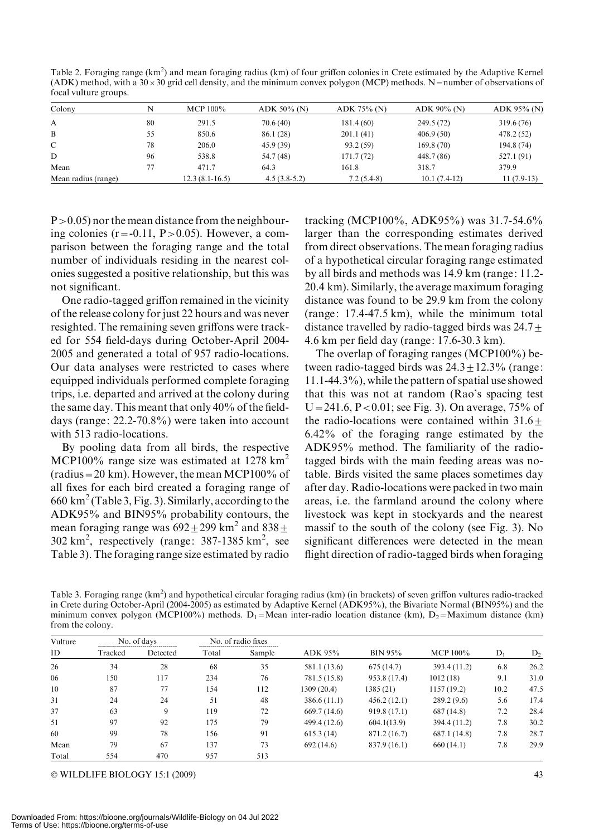Table 2. Foraging range (km<sup>2</sup>) and mean foraging radius (km) of four griffon colonies in Crete estimated by the Adaptive Kernel (ADK) method, with a  $30 \times 30$  grid cell density, and the minimum convex polygon (MCP) methods. N=number of observations of focal vulture groups.

| Colony              | N  | MCP $100\%$      | ADK $50\%$ (N) | $ADK 75\% (N)$ | $ADK 90\%$ (N) | $ADK$ 95% (N) |
|---------------------|----|------------------|----------------|----------------|----------------|---------------|
| A                   | 80 | 291.5            | 70.6(40)       | 181.4 (60)     | 249.5 (72)     | 319.6 (76)    |
| B                   | 55 | 850.6            | 86.1 (28)      | 201.1(41)      | 406.9(50)      | 478.2(52)     |
| C                   | 78 | 206.0            | 45.9(39)       | 93.2 (59)      | 169.8(70)      | 194.8 (74)    |
| D                   | 96 | 538.8            | 54.7 (48)      | 171.7(72)      | 448.7 (86)     | 527.1 (91)    |
| Mean                |    | 471.7            | 64.3           | 161.8          | 318.7          | 379.9         |
| Mean radius (range) |    | $12.3(8.1-16.5)$ | $4.5(3.8-5.2)$ | $7.2(5.4-8)$   | $10.1(7.4-12)$ | $11(7.9-13)$  |

 $P > 0.05$ ) nor the mean distance from the neighbouring colonies  $(r = -0.11, P > 0.05)$ . However, a comparison between the foraging range and the total number of individuals residing in the nearest colonies suggested a positive relationship, but this was not significant.

One radio-tagged griffon remained in the vicinity of the release colony for just 22 hours and was never resighted. The remaining seven griffons were tracked for 554 field-days during October-April 2004- 2005 and generated a total of 957 radio-locations. Our data analyses were restricted to cases where equipped individuals performed complete foraging trips, i.e. departed and arrived at the colony during the same day. This meant that only 40% of the fielddays (range: 22.2-70.8%) were taken into account with 513 radio-locations.

By pooling data from all birds, the respective MCP100% range size was estimated at 1278  $km^2$  $(radius = 20 km)$ . However, the mean MCP100% of all fixes for each bird created a foraging range of 660 km<sup>2</sup> (Table 3, Fig. 3). Similarly, according to the ADK95% and BIN95% probability contours, the mean foraging range was  $692 \pm 299$  km<sup>2</sup> and  $838 \pm$  $302 \text{ km}^2$ , respectively (range:  $387-1385 \text{ km}^2$ , see Table 3). The foraging range size estimated by radio

tracking (MCP100%, ADK95%) was 31.7-54.6% larger than the corresponding estimates derived from direct observations. The mean foraging radius of a hypothetical circular foraging range estimated by all birds and methods was 14.9 km (range: 11.2- 20.4 km). Similarly, the average maximum foraging distance was found to be 29.9 km from the colony (range: 17.4-47.5 km), while the minimum total distance travelled by radio-tagged birds was  $24.7<sub>±</sub>$ 4.6 km per field day (range: 17.6-30.3 km).

The overlap of foraging ranges (MCP100%) between radio-tagged birds was  $24.3 \pm 12.3\%$  (range: 11.1-44.3%), while the pattern of spatial use showed that this was not at random (Rao's spacing test  $U=241.6, P<0.01$ ; see Fig. 3). On average, 75% of the radio-locations were contained within  $31.6+$ 6.42% of the foraging range estimated by the ADK95% method. The familiarity of the radiotagged birds with the main feeding areas was notable. Birds visited the same places sometimes day after day. Radio-locations were packed in two main areas, i.e. the farmland around the colony where livestock was kept in stockyards and the nearest massif to the south of the colony (see Fig. 3). No significant differences were detected in the mean flight direction of radio-tagged birds when foraging

Table 3. Foraging range (km<sup>2</sup>) and hypothetical circular foraging radius (km) (in brackets) of seven griffon vultures radio-tracked in Crete during October-April (2004-2005) as estimated by Adaptive Kernel (ADK95%), the Bivariate Normal (BIN95%) and the minimum convex polygon (MCP100%) methods. D<sub>1</sub>=Mean inter-radio location distance (km), D<sub>2</sub>=Maximum distance (km) from the colony.

| Vulture<br>ID | No. of days |          | No. of radio fixes |        |              |                |              |       |       |
|---------------|-------------|----------|--------------------|--------|--------------|----------------|--------------|-------|-------|
|               | Tracked     | Detected | Total              | Sample | ADK 95%      | <b>BIN 95%</b> | MCP 100%     | $D_1$ | $D_2$ |
| 26            | 34          | 28       | 68                 | 35     | 581.1 (13.6) | 675(14.7)      | 393.4 (11.2) | 6.8   | 26.2  |
| 06            | 150         | 117      | 234                | 76     | 781.5 (15.8) | 953.8 (17.4)   | 1012(18)     | 9.1   | 31.0  |
| 10            | 87          | 77       | 154                | 112    | 1309 (20.4)  | 1385(21)       | 1157 (19.2)  | 10.2  | 47.5  |
| 31            | 24          | 24       | 51                 | 48     | 386.6(11.1)  | 456.2(12.1)    | 289.2(9.6)   | 5.6   | 17.4  |
| 37            | 63          | 9        | 119                | 72     | 669.7(14.6)  | 919.8 (17.1)   | 687(14.8)    | 7.2   | 28.4  |
| 51            | 97          | 92       | 175                | 79     | 499.4 (12.6) | 604.1(13.9)    | 394.4 (11.2) | 7.8   | 30.2  |
| 60            | 99          | 78       | 156                | 91     | 615.3(14)    | 871.2 (16.7)   | 687.1 (14.8) | 7.8   | 28.7  |
| Mean          | 79          | 67       | 137                | 73     | 692(14.6)    | 837.9 (16.1)   | 660(14.1)    | 7.8   | 29.9  |
| Total         | 554         | 470      | 957                | 513    |              |                |              |       |       |

 $\odot$  WILDLIFE BIOLOGY 15:1 (2009)  $\qquad \qquad \qquad$  43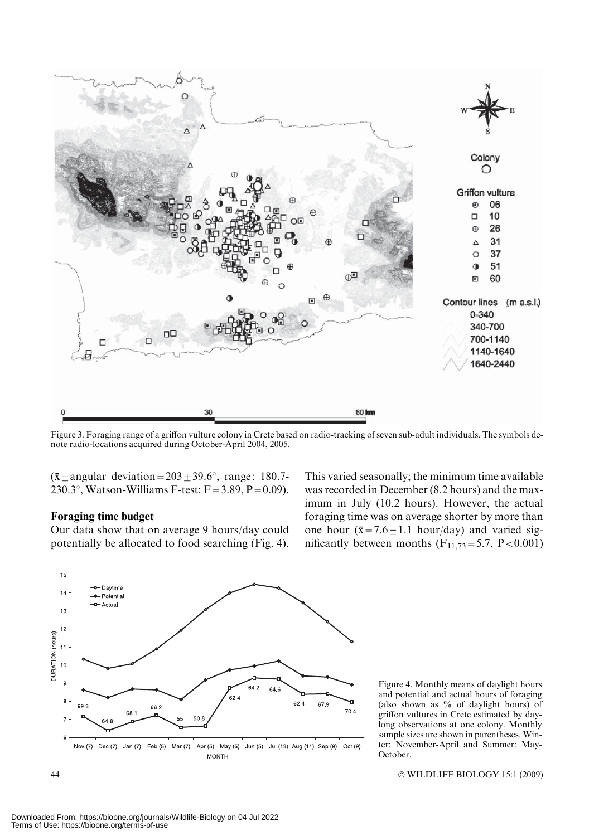

Figure 3. Foraging range of a griffon vulture colony in Crete based on radio-tracking of seven sub-adult individuals. The symbols denote radio-locations acquired during October-April 2004, 2005.

 $(\bar{x} \pm \text{angular deviation}=203\pm39.6^{\circ})$ , range: 180.7-230.3°, Watson-Williams F-test:  $F = 3.89$ ,  $P = 0.09$ ).

#### Foraging time budget

Our data show that on average 9 hours/day could potentially be allocated to food searching (Fig. 4).

This varied seasonally; the minimum time available was recorded in December (8.2 hours) and the maximum in July (10.2 hours). However, the actual foraging time was on average shorter by more than one hour  $(\bar{x} = 7.6 \pm 1.1 \text{ hour/day})$  and varied significantly between months  $(F_{11,73}=5.7, P<0.001)$ 



Figure 4. Monthly means of daylight hours and potential and actual hours of foraging (also shown as % of daylight hours) of griffon vultures in Crete estimated by daylong observations at one colony. Monthly sample sizes are shown in parentheses. Winter: November-April and Summer: May-October.

 $44$ WILDLIFE BIOLOGY 15:1 (2009)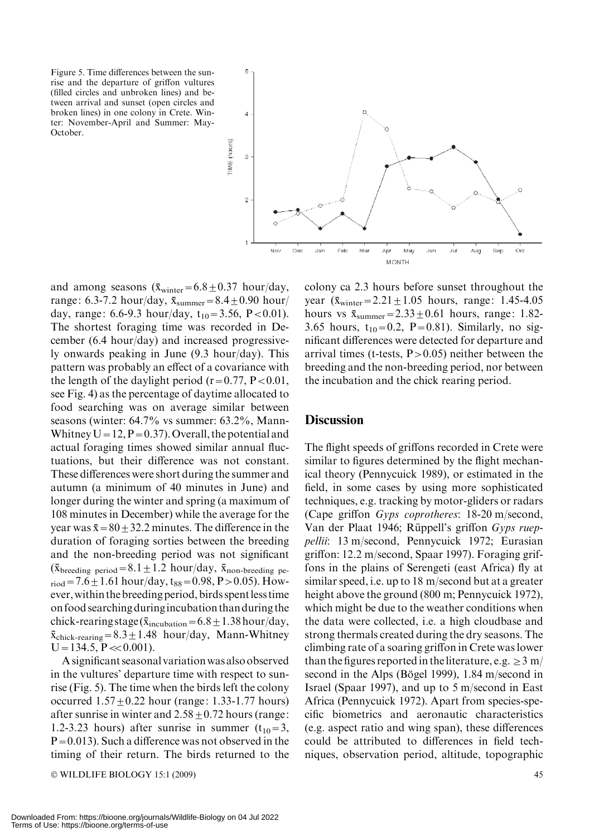Figure 5. Time differences between the sunrise and the departure of griffon vultures (filled circles and unbroken lines) and between arrival and sunset (open circles and broken lines) in one colony in Crete. Winter: November-April and Summer: May-October.

 $\overline{5}$  $\overline{A}$ TME (hours)  $\overline{a}$  $\overline{2}$ Oct **Nov** Dв Ma Apr  $M\mathbf{a}$ Jur Jul Aug Sep **MONTH** 

and among seasons  $(\bar{x}_{\text{winter}}=6.8\pm0.37 \text{ hour/day},$ range: 6.3-7.2 hour/day,  $\bar{x}_{\text{summer}} = 8.4 \pm 0.90$  hour/ day, range: 6.6-9.3 hour/day,  $t_{10} = 3.56$ , P < 0.01). The shortest foraging time was recorded in December (6.4 hour/day) and increased progressively onwards peaking in June (9.3 hour/day). This pattern was probably an effect of a covariance with the length of the daylight period ( $r=0.77$ ,  $P<0.01$ , see Fig. 4) as the percentage of daytime allocated to food searching was on average similar between seasons (winter: 64.7% vs summer: 63.2%, Mann-Whitney  $U = 12$ ,  $P = 0.37$ . Overall, the potential and actual foraging times showed similar annual fluctuations, but their difference was not constant. These differences were short during the summer and autumn (a minimum of 40 minutes in June) and longer during the winter and spring (a maximum of 108 minutes in December) while the average for the year was  $\bar{x}$  = 80  $\pm$  32.2 minutes. The difference in the duration of foraging sorties between the breeding and the non-breeding period was not significant  $(\bar{x}_{\text{breeding period}}=8.1\pm1.2 \text{ hour/day}, \bar{x}_{\text{non-breeding period}})$  $_{\text{riod}}$  = 7.6  $\pm$  1.61 hour/day, t<sub>88</sub> = 0.98, P > 0.05). However,within the breeding period, birds spentless time on food searching duringincubation than during the chick-rearing stage ( $\bar{x}_{\text{incubation}}=6.8\pm1.38\,\text{hour/day}$ ,  $\bar{x}_{\text{chick-rearing}} = 8.3 \pm 1.48$  hour/day, Mann-Whitney  $U=134.5, P \ll 0.001$ .

A significant seasonal variation was also observed in the vultures' departure time with respect to sunrise (Fig. 5). The time when the birds left the colony occurred  $1.57 \pm 0.22$  hour (range: 1.33-1.77 hours) after sunrise in winter and  $2.58 \pm 0.72$  hours (range: 1.2-3.23 hours) after sunrise in summer  $(t_{10}=3,$  $P=0.013$ ). Such a difference was not observed in the timing of their return. The birds returned to the

 $\odot$  WILDLIFE BIOLOGY 15:1 (2009)  $\qquad \qquad \qquad$  45

colony ca 2.3 hours before sunset throughout the year  $(\bar{x}_{\text{winter}} = 2.21 \pm 1.05$  hours, range: 1.45-4.05 hours vs  $\bar{x}_{\text{summer}} = 2.33 \pm 0.61$  hours, range: 1.82-3.65 hours,  $t_{10} = 0.2$ , P=0.81). Similarly, no significant differences were detected for departure and arrival times (t-tests,  $P > 0.05$ ) neither between the breeding and the non-breeding period, nor between the incubation and the chick rearing period.

## **Discussion**

The flight speeds of griffons recorded in Crete were similar to figures determined by the flight mechanical theory (Pennycuick 1989), or estimated in the field, in some cases by using more sophisticated techniques, e.g. tracking by motor-gliders or radars (Cape griffon Gyps coprotheres: 18-20 m/second, Van der Plaat 1946; Rüppell's griffon Gyps rueppellii: 13 m/second, Pennycuick 1972; Eurasian griffon: 12.2 m/second, Spaar 1997). Foraging griffons in the plains of Serengeti (east Africa) fly at similar speed, i.e. up to 18 m/second but at a greater height above the ground (800 m; Pennycuick 1972), which might be due to the weather conditions when the data were collected, i.e. a high cloudbase and strong thermals created during the dry seasons. The climbing rate of a soaring griffon in Crete was lower than the figures reported in the literature, e.g.  $\geq$  3 m/ second in the Alps (Bögel 1999),  $1.84 \text{ m/second in}$ Israel (Spaar 1997), and up to 5 m/second in East Africa (Pennycuick 1972). Apart from species-specific biometrics and aeronautic characteristics (e.g. aspect ratio and wing span), these differences could be attributed to differences in field techniques, observation period, altitude, topographic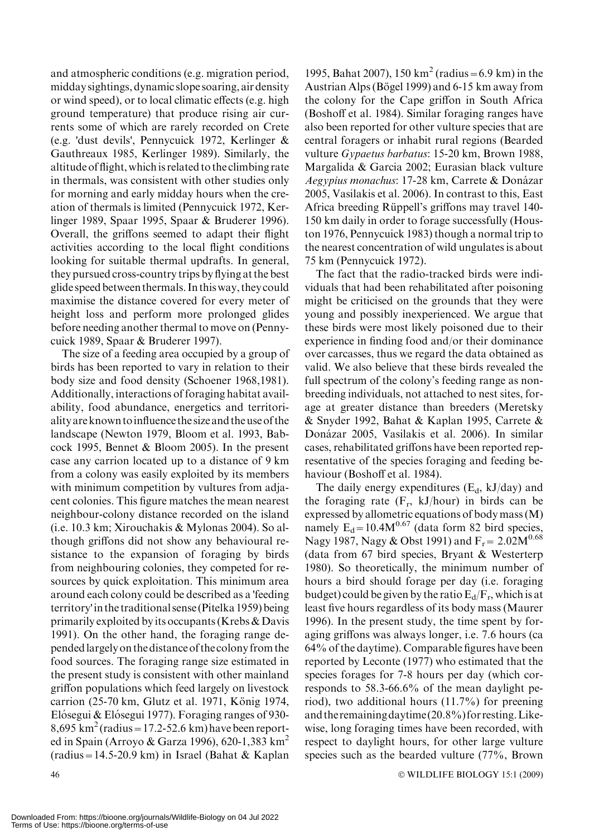and atmospheric conditions (e.g. migration period, midday sightings, dynamic slope soaring, air density or wind speed), or to local climatic effects (e.g. high ground temperature) that produce rising air currents some of which are rarely recorded on Crete (e.g. 'dust devils', Pennycuick 1972, Kerlinger & Gauthreaux 1985, Kerlinger 1989). Similarly, the altitude of flight, which is related to the climbing rate in thermals, was consistent with other studies only for morning and early midday hours when the creation of thermals is limited (Pennycuick 1972, Kerlinger 1989, Spaar 1995, Spaar & Bruderer 1996). Overall, the griffons seemed to adapt their flight activities according to the local flight conditions looking for suitable thermal updrafts. In general, they pursued cross-country trips by flying at the best glide speed between thermals. In thisway, they could maximise the distance covered for every meter of height loss and perform more prolonged glides before needing another thermal to move on (Pennycuick 1989, Spaar & Bruderer 1997).

The size of a feeding area occupied by a group of birds has been reported to vary in relation to their body size and food density (Schoener 1968,1981). Additionally, interactions of foraging habitat availability, food abundance, energetics and territoriality are known toinfluence the size and the use of the landscape (Newton 1979, Bloom et al. 1993, Babcock 1995, Bennet & Bloom 2005). In the present case any carrion located up to a distance of 9 km from a colony was easily exploited by its members with minimum competition by vultures from adjacent colonies. This figure matches the mean nearest neighbour-colony distance recorded on the island (i.e. 10.3 km; Xirouchakis & Mylonas 2004). So although griffons did not show any behavioural resistance to the expansion of foraging by birds from neighbouring colonies, they competed for resources by quick exploitation. This minimum area around each colony could be described as a 'feeding territory'in the traditional sense (Pitelka 1959) being primarily exploited by its occupants (Krebs & Davis 1991). On the other hand, the foraging range dependedlargely on the distance of the colony from the food sources. The foraging range size estimated in the present study is consistent with other mainland griffon populations which feed largely on livestock carrion (25-70 km, Glutz et al. 1971, König 1974, Elósegui & Elósegui 1977). Foraging ranges of 930- $8,695 \text{ km}^2 \text{(radius} = 17.2 - 52.6 \text{ km)}$  have been reported in Spain (Arroyo & Garza 1996), 620-1,383 km<sup>2</sup>  $(radius = 14.5-20.9 km)$  in Israel (Bahat & Kaplan

1995, Bahat 2007), 150 km<sup>2</sup> (radius = 6.9 km) in the Austrian Alps (Bögel 1999) and 6-15 km away from the colony for the Cape griffon in South Africa (Boshoff et al. 1984). Similar foraging ranges have also been reported for other vulture species that are central foragers or inhabit rural regions (Bearded vulture Gypaetus barbatus: 15-20 km, Brown 1988, Margalida & Garcia 2002; Eurasian black vulture Aegypius monachus: 17-28 km, Carrete & Donázar 2005, Vasilakis et al. 2006). In contrast to this, East Africa breeding Rüppell's griffons may travel 140-150 km daily in order to forage successfully (Houston 1976, Pennycuick 1983) though a normal trip to the nearest concentration of wild ungulates is about 75 km (Pennycuick 1972).

The fact that the radio-tracked birds were individuals that had been rehabilitated after poisoning might be criticised on the grounds that they were young and possibly inexperienced. We argue that these birds were most likely poisoned due to their experience in finding food and/or their dominance over carcasses, thus we regard the data obtained as valid. We also believe that these birds revealed the full spectrum of the colony's feeding range as nonbreeding individuals, not attached to nest sites, forage at greater distance than breeders (Meretsky & Snyder 1992, Bahat & Kaplan 1995, Carrete & Donázar 2005, Vasilakis et al. 2006). In similar cases, rehabilitated griffons have been reported representative of the species foraging and feeding behaviour (Boshoff et al. 1984).

The daily energy expenditures  $(E_d, kJ/day)$  and the foraging rate  $(F_r, kJ/hour)$  in birds can be expressed by allometric equations of body mass (M) namely  $E_d = 10.4M^{0.67}$  (data form 82 bird species, Nagy 1987, Nagy & Obst 1991) and  $F_r = 2.02M^{0.68}$ (data from 67 bird species, Bryant & Westerterp 1980). So theoretically, the minimum number of hours a bird should forage per day (i.e. foraging budget) could be given by the ratio  $E_d/F_r$ , which is at least five hours regardless of its body mass (Maurer 1996). In the present study, the time spent by foraging griffons was always longer, i.e. 7.6 hours (ca 64% of the daytime). Comparable figures have been reported by Leconte (1977) who estimated that the species forages for 7-8 hours per day (which corresponds to 58.3-66.6% of the mean daylight period), two additional hours (11.7%) for preening and theremainingdaytime (20.8%) forresting.Likewise, long foraging times have been recorded, with respect to daylight hours, for other large vulture species such as the bearded vulture (77%, Brown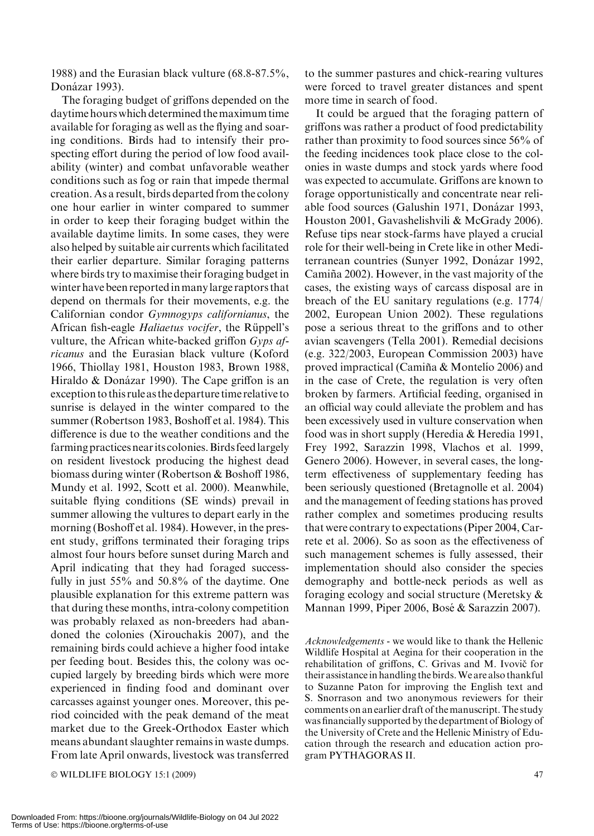1988) and the Eurasian black vulture (68.8-87.5%, Donázar 1993).

The foraging budget of griffons depended on the daytime hours which determined themaximum time available for foraging as well as the flying and soaring conditions. Birds had to intensify their prospecting effort during the period of low food availability (winter) and combat unfavorable weather conditions such as fog or rain that impede thermal creation. As a result, birds departed from the colony one hour earlier in winter compared to summer in order to keep their foraging budget within the available daytime limits. In some cases, they were also helped by suitable air currents which facilitated their earlier departure. Similar foraging patterns where birds try to maximise their foraging budget in winter have been reportedinmanylarge raptors that depend on thermals for their movements, e.g. the Californian condor Gymnogyps californianus, the African fish-eagle Haliaetus vocifer, the Rüppell's vulture, the African white-backed griffon  $Gyps$  africanus and the Eurasian black vulture (Koford 1966, Thiollay 1981, Houston 1983, Brown 1988, Hiraldo  $& Donázar 1990$ . The Cape griffon is an exception to this rule as the departure time relative to sunrise is delayed in the winter compared to the summer (Robertson 1983, Boshoff et al. 1984). This difference is due to the weather conditions and the farming practices near its colonies. Birds feed largely on resident livestock producing the highest dead biomass during winter (Robertson & Boshoff 1986, Mundy et al. 1992, Scott et al. 2000). Meanwhile, suitable flying conditions (SE winds) prevail in summer allowing the vultures to depart early in the morning (Boshoff et al. 1984). However, in the present study, griffons terminated their foraging trips almost four hours before sunset during March and April indicating that they had foraged successfully in just 55% and 50.8% of the daytime. One plausible explanation for this extreme pattern was that during these months, intra-colony competition was probably relaxed as non-breeders had abandoned the colonies (Xirouchakis 2007), and the remaining birds could achieve a higher food intake per feeding bout. Besides this, the colony was occupied largely by breeding birds which were more experienced in finding food and dominant over carcasses against younger ones. Moreover, this period coincided with the peak demand of the meat market due to the Greek-Orthodox Easter which means abundant slaughter remains in waste dumps. From late April onwards, livestock was transferred

© WILDLIFE BIOLOGY 15:1 (2009) 47

to the summer pastures and chick-rearing vultures were forced to travel greater distances and spent more time in search of food.

It could be argued that the foraging pattern of griffons was rather a product of food predictability rather than proximity to food sources since 56% of the feeding incidences took place close to the colonies in waste dumps and stock yards where food was expected to accumulate. Griffons are known to forage opportunistically and concentrate near reliable food sources (Galushin 1971, Donázar 1993, Houston 2001, Gavashelishvili & McGrady 2006). Refuse tips near stock-farms have played a crucial role for their well-being in Crete like in other Mediterranean countries (Sunyer 1992, Donázar 1992, Camiña 2002). However, in the vast majority of the cases, the existing ways of carcass disposal are in breach of the EU sanitary regulations (e.g. 1774/ 2002, European Union 2002). These regulations pose a serious threat to the griffons and to other avian scavengers (Tella 2001). Remedial decisions (e.g. 322/2003, European Commission 2003) have proved impractical (Camiña  $&$  Montelio 2006) and in the case of Crete, the regulation is very often broken by farmers. Artificial feeding, organised in an official way could alleviate the problem and has been excessively used in vulture conservation when food was in short supply (Heredia & Heredia 1991, Frey 1992, Sarazzin 1998, Vlachos et al. 1999, Genero 2006). However, in several cases, the longterm effectiveness of supplementary feeding has been seriously questioned (Bretagnolle et al. 2004) and the management of feeding stations has proved rather complex and sometimes producing results that were contrary to expectations (Piper 2004, Carrete et al. 2006). So as soon as the effectiveness of such management schemes is fully assessed, their implementation should also consider the species demography and bottle-neck periods as well as foraging ecology and social structure (Meretsky & Mannan 1999, Piper 2006, Bose´ & Sarazzin 2007).

Acknowledgements - we would like to thank the Hellenic Wildlife Hospital at Aegina for their cooperation in the rehabilitation of griffons, C. Grivas and M. Ivovič for their assistancein handling the birds.We are also thankful to Suzanne Paton for improving the English text and S. Snorrason and two anonymous reviewers for their comments on an earlier draft of the manuscript. The study was financially supported by the department of Biology of the University of Crete and the Hellenic Ministry of Education through the research and education action program PYTHAGORAS II.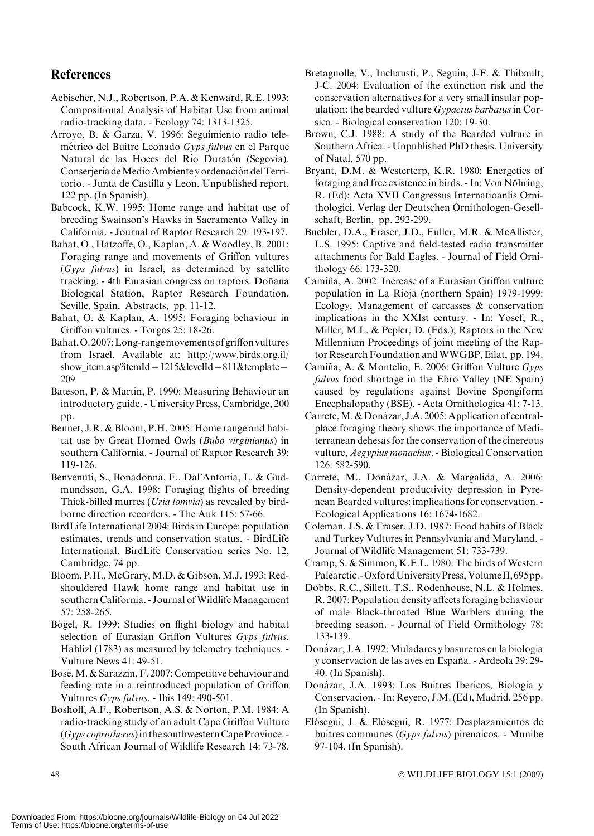## **References**

- Aebischer, N.J., Robertson, P.A. & Kenward, R.E. 1993: Compositional Analysis of Habitat Use from animal radio-tracking data. - Ecology 74: 1313-1325.
- Arroyo, B. & Garza, V. 1996: Seguimiento radio telemétrico del Buitre Leonado Gyps fulvus en el Parque Natural de las Hoces del Río Duratón (Segovia). Conserjería de Medio Ambiente y ordenación del Territorio. - Junta de Castilla y Leon. Unpublished report, 122 pp. (In Spanish).
- Babcock, K.W. 1995: Home range and habitat use of breeding Swainson's Hawks in Sacramento Valley in California. - Journal of Raptor Research 29: 193-197.
- Bahat, O., Hatzoffe, O., Kaplan, A. & Woodley, B. 2001: Foraging range and movements of Griffon vultures (Gyps fulvus) in Israel, as determined by satellite tracking. - 4th Eurasian congress on raptors. Doñana Biological Station, Raptor Research Foundation, Seville, Spain, Abstracts, pp. 11-12.
- Bahat, O. & Kaplan, A. 1995: Foraging behaviour in Griffon vultures. - Torgos 25: 18-26.
- Bahat,O.2007:Long-rangemovementsofgriffonvultures from Israel. Available at: http://www.birds.org.il/ show item.asp?itemId=1215&levelId=811&template= 209
- Bateson, P. & Martin, P. 1990: Measuring Behaviour an introductory guide. - University Press, Cambridge, 200 pp.
- Bennet, J.R. & Bloom, P.H. 2005: Home range and habitat use by Great Horned Owls (Bubo virginianus) in southern California. - Journal of Raptor Research 39: 119-126.
- Benvenuti, S., Bonadonna, F., Dal'Antonia, L. & Gudmundsson, G.A. 1998: Foraging flights of breeding Thick-billed murres (Uria lomvia) as revealed by birdborne direction recorders. - The Auk 115: 57-66.
- BirdLife International 2004: Birds in Europe: population estimates, trends and conservation status. - BirdLife International. BirdLife Conservation series No. 12, Cambridge, 74 pp.
- Bloom, P.H., McGrary, M.D. & Gibson, M.J. 1993: Redshouldered Hawk home range and habitat use in southern California. - Journal of Wildlife Management 57: 258-265.
- Bögel, R. 1999: Studies on flight biology and habitat selection of Eurasian Griffon Vultures Gyps fulvus, Hablizl (1783) as measured by telemetry techniques. - Vulture News 41: 49-51.
- Bosé, M. & Sarazzin, F. 2007: Competitive behaviour and feeding rate in a reintroduced population of Griffon Vultures Gyps fulvus. - Ibis 149: 490-501.
- Boshoff, A.F., Robertson, A.S. & Norton, P.M. 1984: A radio-tracking study of an adult Cape Griffon Vulture (Gyps coprotheres) in the southwestern Cape Province. -South African Journal of Wildlife Research 14: 73-78.
- Bretagnolle, V., Inchausti, P., Seguin, J-F. & Thibault, J-C. 2004: Evaluation of the extinction risk and the conservation alternatives for a very small insular population: the bearded vulture Gypaetus barbatus in Corsica. - Biological conservation 120: 19-30.
- Brown, C.J. 1988: A study of the Bearded vulture in Southern Africa. - Unpublished PhD thesis. University of Natal, 570 pp.
- Bryant, D.M. & Westerterp, K.R. 1980: Energetics of foraging and free existence in birds. - In: Von Nöhring, R. (Ed); Acta XVII Congressus Internatioanlis Ornithologici, Verlag der Deutschen Ornithologen-Gesellschaft, Berlin, pp. 292-299.
- Buehler, D.A., Fraser, J.D., Fuller, M.R. & McAllister, L.S. 1995: Captive and field-tested radio transmitter attachments for Bald Eagles. - Journal of Field Ornithology 66: 173-320.
- Camiña, A. 2002: Increase of a Eurasian Griffon vulture population in La Rioja (northern Spain) 1979-1999: Ecology, Management of carcasses & conservation implications in the XXIst century. - In: Yosef, R., Miller, M.L. & Pepler, D. (Eds.); Raptors in the New Millennium Proceedings of joint meeting of the Raptor Research Foundation andWWGBP, Eilat, pp. 194.
- Camiña, A. & Montelío, E. 2006: Griffon Vulture Gyps fulvus food shortage in the Ebro Valley (NE Spain) caused by regulations against Bovine Spongiform Encephalopathy (BSE). - Acta Ornithologica 41: 7-13.
- Carrete, M. & Donázar, J.A. 2005: Application of centralplace foraging theory shows the importance of Mediterranean dehesas for the conservation of the cinereous vulture, Aegypius monachus. - Biological Conservation 126: 582-590.
- Carrete, M., Donázar, J.A. & Margalida, A. 2006: Density-dependent productivity depression in Pyrenean Bearded vultures: implications for conservation. - Ecological Applications 16: 1674-1682.
- Coleman, J.S. & Fraser, J.D. 1987: Food habits of Black and Turkey Vultures in Pennsylvania and Maryland. - Journal of Wildlife Management 51: 733-739.
- Cramp, S. & Simmon, K.E.L. 1980: The birds of Western Palearctic. - Oxford University Press, Volume II, 695pp.
- Dobbs, R.C., Sillett, T.S., Rodenhouse, N.L. & Holmes, R. 2007: Population density affects foraging behaviour of male Black-throated Blue Warblers during the breeding season. - Journal of Field Ornithology 78: 133-139.
- Donázar, J.A. 1992: Muladares y basureros en la biologia y conservacion de las aves en España. - Ardeola 39: 29-40. (In Spanish).
- Donázar, J.A. 1993: Los Buitres Ibericos, Biologia y Conservacion. - In: Reyero, J.M. (Ed), Madrid, 256 pp. (In Spanish).
- Elósegui, J. & Elósegui, R. 1977: Desplazamientos de buitres communes (Gyps fulvus) pirenaicos. - Munibe 97-104. (In Spanish).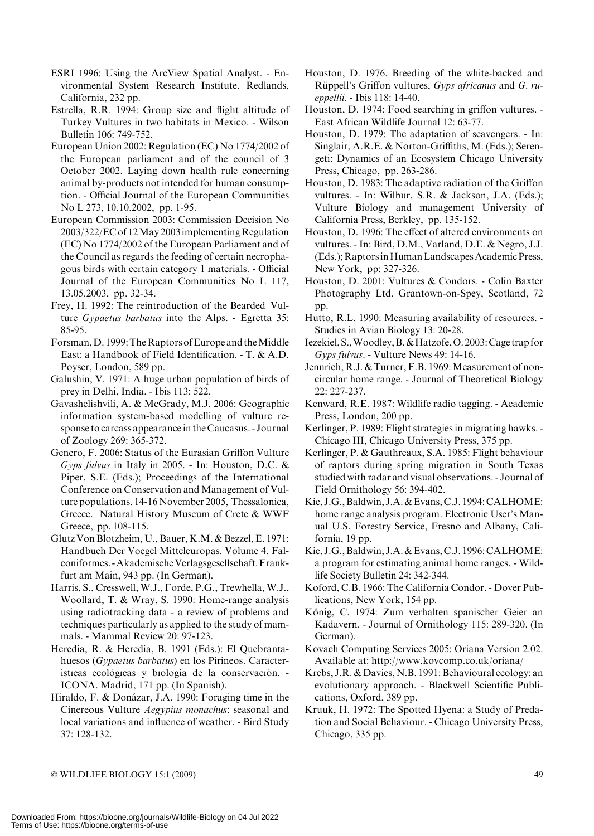- ESRI 1996: Using the ArcView Spatial Analyst. Environmental System Research Institute. Redlands, California, 232 pp.
- Estrella, R.R. 1994: Group size and flight altitude of Turkey Vultures in two habitats in Mexico. - Wilson Bulletin 106: 749-752.
- European Union 2002: Regulation (EC) No 1774/2002 of the European parliament and of the council of 3 October 2002. Laying down health rule concerning animal by-products not intended for human consumption. - Official Journal of the European Communities No L 273, 10.10.2002, pp. 1-95.
- European Commission 2003: Commission Decision No 2003/322/EC of 12May 2003implementing Regulation (EC) No 1774/2002 of the European Parliament and of the Council as regards the feeding of certain necrophagous birds with certain category 1 materials. - Official Journal of the European Communities No L 117, 13.05.2003, pp. 32-34.
- Frey, H. 1992: The reintroduction of the Bearded Vulture Gypaetus barbatus into the Alps. - Egretta 35: 85-95.
- Forsman, D. 1999: The Raptors of Europe and the Middle East: a Handbook of Field Identification. - T. & A.D. Poyser, London, 589 pp.
- Galushin, V. 1971: A huge urban population of birds of prey in Delhi, India. - Ibis 113: 522.
- Gavashelishvili, A. & McGrady, M.J. 2006: Geographic information system-based modelling of vulture response to carcass appearance in the Caucasus. - Journal of Zoology 269: 365-372.
- Genero, F. 2006: Status of the Eurasian Griffon Vulture Gyps fulvus in Italy in 2005. - In: Houston, D.C.  $\&$ Piper, S.E. (Eds.); Proceedings of the International Conference on Conservation and Management of Vulture populations. 14-16 November 2005, Thessalonica, Greece. Natural History Museum of Crete & WWF Greece, pp. 108-115.
- Glutz Von Blotzheim, U., Bauer, K.M. & Bezzel, E. 1971: Handbuch Der Voegel Mitteleuropas. Volume 4. Falconiformes. -AkademischeVerlagsgesellschaft.Frankfurt am Main, 943 pp. (In German).
- Harris, S., Cresswell, W.J., Forde, P.G., Trewhella, W.J., Woollard, T. & Wray, S. 1990: Home-range analysis using radiotracking data - a review of problems and techniques particularly as applied to the study of mammals. - Mammal Review 20: 97-123.
- Heredia, R. & Heredia, B. 1991 (Eds.): El Quebrantahuesos (Gypaetus barbatus) en los Pirineos. Características ecológicas y biología de la conservación. -ICONA. Madrid, 171 pp. (In Spanish).
- Hiraldo, F. & Donázar, J.A. 1990: Foraging time in the Cinereous Vulture Aegypius monachus: seasonal and local variations and influence of weather. - Bird Study 37: 128-132.
- Houston, D. 1976. Breeding of the white-backed and Rüppell's Griffon vultures,  $Gyps$  africanus and  $G.$  rueppellii. - Ibis 118: 14-40.
- Houston, D. 1974: Food searching in griffon vultures. East African Wildlife Journal 12: 63-77.
- Houston, D. 1979: The adaptation of scavengers. In: Singlair, A.R.E. & Norton-Griffiths, M. (Eds.); Serengeti: Dynamics of an Ecosystem Chicago University Press, Chicago, pp. 263-286.
- Houston, D. 1983: The adaptive radiation of the Griffon vultures. - In: Wilbur, S.R. & Jackson, J.A. (Eds.); Vulture Biology and management University of California Press, Berkley, pp. 135-152.
- Houston, D. 1996: The effect of altered environments on vultures. - In: Bird, D.M., Varland, D.E. & Negro, J.J. (Eds.); RaptorsinHumanLandscapes Academic Press, New York, pp: 327-326.
- Houston, D. 2001: Vultures & Condors. Colin Baxter Photography Ltd. Grantown-on-Spey, Scotland, 72 pp.
- Hutto, R.L. 1990: Measuring availability of resources. Studies in Avian Biology 13: 20-28.
- Iezekiel, S.,Woodley,B.&Hatzofe,O. 2003:Cage trap for Gyps fulvus. - Vulture News 49: 14-16.
- Jennrich, R.J. & Turner, F.B. 1969: Measurement of noncircular home range. - Journal of Theoretical Biology 22: 227-237.
- Kenward, R.E. 1987: Wildlife radio tagging. Academic Press, London, 200 pp.
- Kerlinger, P. 1989: Flight strategies in migrating hawks. Chicago III, Chicago University Press, 375 pp.
- Kerlinger, P. & Gauthreaux, S.A. 1985: Flight behaviour of raptors during spring migration in South Texas studied with radar and visual observations. - Journal of Field Ornithology 56: 394-402.
- Kie, J.G., Baldwin, J.A. & Evans, C.J. 1994: CALHOME: home range analysis program. Electronic User's Manual U.S. Forestry Service, Fresno and Albany, California, 19 pp.
- Kie, J.G., Baldwin, J.A. & Evans, C.J. 1996: CALHOME: a program for estimating animal home ranges. - Wildlife Society Bulletin 24: 342-344.
- Koford, C.B. 1966: The California Condor. Dover Publications, New York, 154 pp.
- König, C. 1974: Zum verhalten spanischer Geier an Kadavern. - Journal of Ornithology 115: 289-320. (In German).
- Kovach Computing Services 2005: Oriana Version 2.02. Available at: http://www.kovcomp.co.uk/oriana/
- Krebs, J.R. & Davies, N.B. 1991: Behavioural ecology: an evolutionary approach. - Blackwell Scientific Publications, Oxford, 389 pp.
- Kruuk, H. 1972: The Spotted Hyena: a Study of Predation and Social Behaviour. - Chicago University Press, Chicago, 335 pp.

- WILDLIFE BIOLOGY 15:1 (2009) 49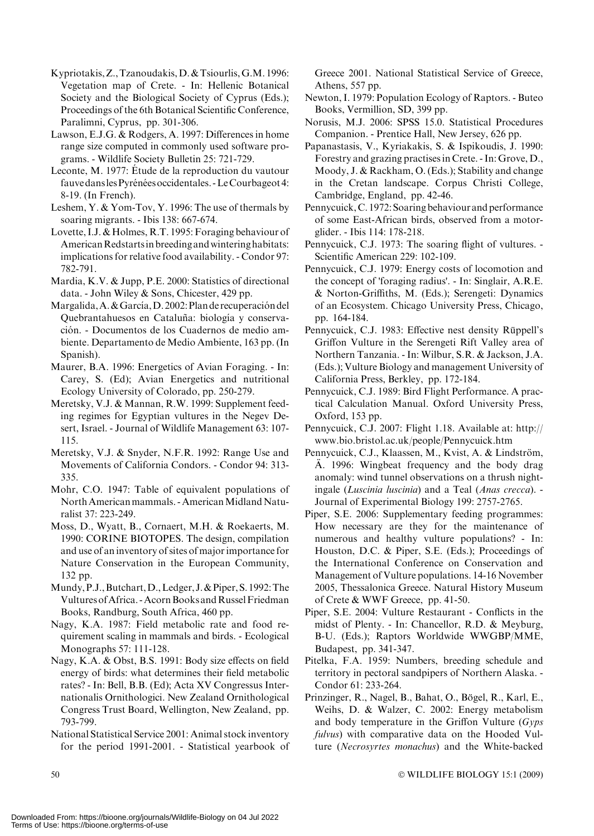- Kypriotakis,Z.,Tzanoudakis,D.&Tsiourlis,G.M. 1996: Vegetation map of Crete. - In: Hellenic Botanical Society and the Biological Society of Cyprus (Eds.); Proceedings of the 6th Botanical Scientific Conference, Paralimni, Cyprus, pp. 301-306.
- Lawson, E.J.G. & Rodgers, A. 1997: Differences in home range size computed in commonly used software programs. - Wildlife Society Bulletin 25: 721-729.
- Leconte, M. 1977: Étude de la reproduction du vautour fauve dans les Pyrénées occidentales. - Le Courbageot 4: 8-19. (In French).
- Leshem, Y. & Yom-Tov, Y. 1996: The use of thermals by soaring migrants. - Ibis 138: 667-674.
- Lovette, I.J. & Holmes, R.T. 1995: Foraging behaviour of American Redstarts in breeding and wintering habitats: implications for relative food availability. - Condor 97: 782-791.
- Mardia, K.V. & Jupp, P.E. 2000: Statistics of directional data. - John Wiley & Sons, Chicester, 429 pp.
- Margalida, A. & García, D. 2002: Plan de recuperación del Quebrantahuesos en Cataluña: biología y conservación. - Documentos de los Cuadernos de medio ambiente. Departamento de Medio Ambiente, 163 pp. (In Spanish).
- Maurer, B.A. 1996: Energetics of Avian Foraging. In: Carey, S. (Ed); Avian Energetics and nutritional Ecology University of Colorado, pp. 250-279.
- Meretsky, V.J. & Mannan, R.W. 1999: Supplement feeding regimes for Egyptian vultures in the Negev Desert, Israel. - Journal of Wildlife Management 63: 107- 115.
- Meretsky, V.J. & Snyder, N.F.R. 1992: Range Use and Movements of California Condors. - Condor 94: 313- 335.
- Mohr, C.O. 1947: Table of equivalent populations of North American mammals. - American Midland Naturalist 37: 223-249.
- Moss, D., Wyatt, B., Cornaert, M.H. & Roekaerts, M. 1990: CORINE BIOTOPES. The design, compilation and use of an inventory of sites of major importance for Nature Conservation in the European Community, 132 pp.
- Mundy,P.J.,Butchart,D.,Ledger, J.&Piper, S. 1992:The Vultures of Africa. - Acorn Books and Russel Friedman Books, Randburg, South Africa, 460 pp.
- Nagy, K.A. 1987: Field metabolic rate and food requirement scaling in mammals and birds. - Ecological Monographs 57: 111-128.
- Nagy, K.A. & Obst, B.S. 1991: Body size effects on field energy of birds: what determines their field metabolic rates? - In: Bell, B.B. (Ed); Acta XV Congressus Internationalis Ornithologici. New Zealand Ornithological Congress Trust Board, Wellington, New Zealand, pp. 793-799.
- National Statistical Service 2001: Animal stock inventory for the period 1991-2001. - Statistical yearbook of

Greece 2001. National Statistical Service of Greece, Athens, 557 pp.

- Newton, I. 1979: Population Ecology of Raptors. Buteo Books, Vermillion, SD, 399 pp.
- Norusis, M.J. 2006: SPSS 15.0. Statistical Procedures Companion. - Prentice Hall, New Jersey, 626 pp.
- Papanastasis, V., Kyriakakis, S. & Ispikoudis, J. 1990: Forestry and grazing practises in Crete. - In: Grove, D., Moody, J. & Rackham, O. (Eds.); Stability and change in the Cretan landscape. Corpus Christi College, Cambridge, England, pp. 42-46.
- Pennycuick, C. 1972: Soaring behaviour and performance of some East-African birds, observed from a motorglider. - Ibis 114: 178-218.
- Pennycuick, C.J. 1973: The soaring flight of vultures. Scientific American 229: 102-109.
- Pennycuick, C.J. 1979: Energy costs of locomotion and the concept of 'foraging radius'. - In: Singlair, A.R.E. & Norton-Griffiths, M. (Eds.); Serengeti: Dynamics of an Ecosystem. Chicago University Press, Chicago, pp. 164-184.
- Pennycuick, C.J. 1983: Effective nest density Rüppell's Griffon Vulture in the Serengeti Rift Valley area of Northern Tanzania. - In: Wilbur, S.R. & Jackson, J.A. (Eds.); Vulture Biology and management University of California Press, Berkley, pp. 172-184.
- Pennycuick, C.J. 1989: Bird Flight Performance. A practical Calculation Manual. Oxford University Press, Oxford, 153 pp.
- Pennycuick, C.J. 2007: Flight 1.18. Available at: http:// www.bio.bristol.ac.uk/people/Pennycuick.htm
- Pennycuick, C.J., Klaassen, M., Kvist, A. & Lindström, A. 1996: Wingbeat frequency and the body drag anomaly: wind tunnel observations on a thrush nightingale (Luscinia luscinia) and a Teal (Anas crecca). - Journal of Experimental Biology 199: 2757-2765.
- Piper, S.E. 2006: Supplementary feeding programmes: How necessary are they for the maintenance of numerous and healthy vulture populations? - In: Houston, D.C. & Piper, S.E. (Eds.); Proceedings of the International Conference on Conservation and Management of Vulture populations. 14-16 November 2005, Thessalonica Greece. Natural History Museum of Crete & WWF Greece, pp. 41-50.
- Piper, S.E. 2004: Vulture Restaurant Conflicts in the midst of Plenty. - In: Chancellor, R.D. & Meyburg, B-U. (Eds.); Raptors Worldwide WWGBP/MME, Budapest, pp. 341-347.
- Pitelka, F.A. 1959: Numbers, breeding schedule and territory in pectoral sandpipers of Northern Alaska. - Condor 61: 233-264.
- Prinzinger, R., Nagel, B., Bahat, O., Bögel, R., Karl, E., Weihs, D. & Walzer, C. 2002: Energy metabolism and body temperature in the Griffon Vulture  $(Gyps)$ fulvus) with comparative data on the Hooded Vulture (Necrosyrtes monachus) and the White-backed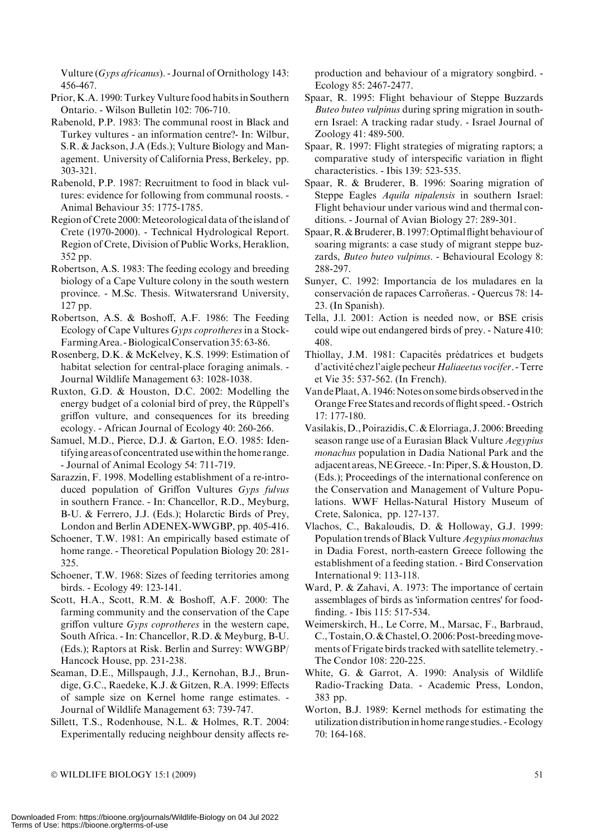Vulture (Gyps africanus). - Journal of Ornithology 143: 456-467.

- Prior, K.A. 1990: Turkey Vulture food habits in Southern Ontario. - Wilson Bulletin 102: 706-710.
- Rabenold, P.P. 1983: The communal roost in Black and Turkey vultures - an information centre?- In: Wilbur, S.R. & Jackson, J.A (Eds.); Vulture Biology and Management. University of California Press, Berkeley, pp. 303-321.
- Rabenold, P.P. 1987: Recruitment to food in black vultures: evidence for following from communal roosts. - Animal Behaviour 35: 1775-1785.
- Region of Crete 2000: Meteorological data of the island of Crete (1970-2000). - Technical Hydrological Report. Region of Crete, Division of Public Works, Heraklion, 352 pp.
- Robertson, A.S. 1983: The feeding ecology and breeding biology of a Cape Vulture colony in the south western province. - M.Sc. Thesis. Witwatersrand University, 127 pp.
- Robertson, A.S. & Boshoff, A.F. 1986: The Feeding Ecology of Cape Vultures Gyps coprotheres in a Stock-FarmingArea. -BiologicalConservation 35: 63-86.
- Rosenberg, D.K. & McKelvey, K.S. 1999: Estimation of habitat selection for central-place foraging animals. - Journal Wildlife Management 63: 1028-1038.
- Ruxton, G.D. & Houston, D.C. 2002: Modelling the energy budget of a colonial bird of prey, the Rüppell's griffon vulture, and consequences for its breeding ecology. - African Journal of Ecology 40: 260-266.
- Samuel, M.D., Pierce, D.J. & Garton, E.O. 1985: Identifying areas of concentrated use within the home range. - Journal of Animal Ecology 54: 711-719.
- Sarazzin, F. 1998. Modelling establishment of a re-introduced population of Griffon Vultures Gyps fulvus in southern France. - In: Chancellor, R.D., Meyburg, B-U. & Ferrero, J.J. (Eds.); Holarctic Birds of Prey, London and Berlin ADENEX-WWGBP, pp. 405-416.
- Schoener, T.W. 1981: An empirically based estimate of home range. - Theoretical Population Biology 20: 281- 325.
- Schoener, T.W. 1968: Sizes of feeding territories among birds. - Ecology 49: 123-141.
- Scott, H.A., Scott, R.M. & Boshoff, A.F. 2000: The farming community and the conservation of the Cape griffon vulture Gyps coprotheres in the western cape, South Africa. - In: Chancellor, R.D. & Meyburg, B-U. (Eds.); Raptors at Risk. Berlin and Surrey: WWGBP/ Hancock House, pp. 231-238.
- Seaman, D.E., Millspaugh, J.J., Kernohan, B.J., Brundige, G.C., Raedeke, K.J. & Gitzen, R.A. 1999: Effects of sample size on Kernel home range estimates. - Journal of Wildlife Management 63: 739-747.
- Sillett, T.S., Rodenhouse, N.L. & Holmes, R.T. 2004: Experimentally reducing neighbour density affects re-

production and behaviour of a migratory songbird. - Ecology 85: 2467-2477.

- Spaar, R. 1995: Flight behaviour of Steppe Buzzards Buteo buteo vulpinus during spring migration in southern Israel: A tracking radar study. - Israel Journal of Zoology 41: 489-500.
- Spaar, R. 1997: Flight strategies of migrating raptors; a comparative study of interspecific variation in flight characteristics. - Ibis 139: 523-535.
- Spaar, R. & Bruderer, B. 1996: Soaring migration of Steppe Eagles Aquila nipalensis in southern Israel: Flight behaviour under various wind and thermal conditions. - Journal of Avian Biology 27: 289-301.
- Spaar,R.&Bruderer,B. 1997:Optimal flight behaviour of soaring migrants: a case study of migrant steppe buzzards, Buteo buteo vulpinus. - Behavioural Ecology 8: 288-297.
- Sunyer, C. 1992: Importancia de los muladares en la conservación de rapaces Carroñeras. - Quercus 78: 14-23. (In Spanish).
- Tella, J.l. 2001: Action is needed now, or BSE crisis could wipe out endangered birds of prey. - Nature 410: 408.
- Thiollay, J.M. 1981: Capacités prédatrices et budgets d'activité chez l'aigle pecheur Haliaeetus vocifer. - Terre et Vie 35: 537-562. (In French).
- Van de Plaat, A. 1946: Notes on some birds observed in the Orange Free States and records of flight speed. - Ostrich 17: 177-180.
- Vasilakis, D., Poirazidis, C. & Elorriaga, J. 2006: Breeding season range use of a Eurasian Black Vulture Aegypius monachus population in Dadia National Park and the adjacent areas,NEGreece. - In: Piper, S.&Houston,D. (Eds.); Proceedings of the international conference on the Conservation and Management of Vulture Populations. WWF Hellas-Natural History Museum of Crete, Salonica, pp. 127-137.
- Vlachos, C., Bakaloudis, D. & Holloway, G.J. 1999: Population trends of Black Vulture Aegypius monachus in Dadia Forest, north-eastern Greece following the establishment of a feeding station. - Bird Conservation International 9: 113-118.
- Ward, P. & Zahavi, A. 1973: The importance of certain assemblages of birds as 'information centres' for foodfinding. - Ibis 115: 517-534.
- Weimerskirch, H., Le Corre, M., Marsac, F., Barbraud, C.,Tostain,O.&Chastel,O. 2006:Post-breedingmovements of Frigate birds tracked with satellite telemetry. - The Condor 108: 220-225.
- White, G. & Garrot, A. 1990: Analysis of Wildlife Radio-Tracking Data. - Academic Press, London, 383 pp.
- Worton, B.J. 1989: Kernel methods for estimating the utilization distributionin home range studies. -Ecology 70: 164-168.

 $\odot$  WILDLIFE BIOLOGY 15:1 (2009)  $\qquad \qquad$  51